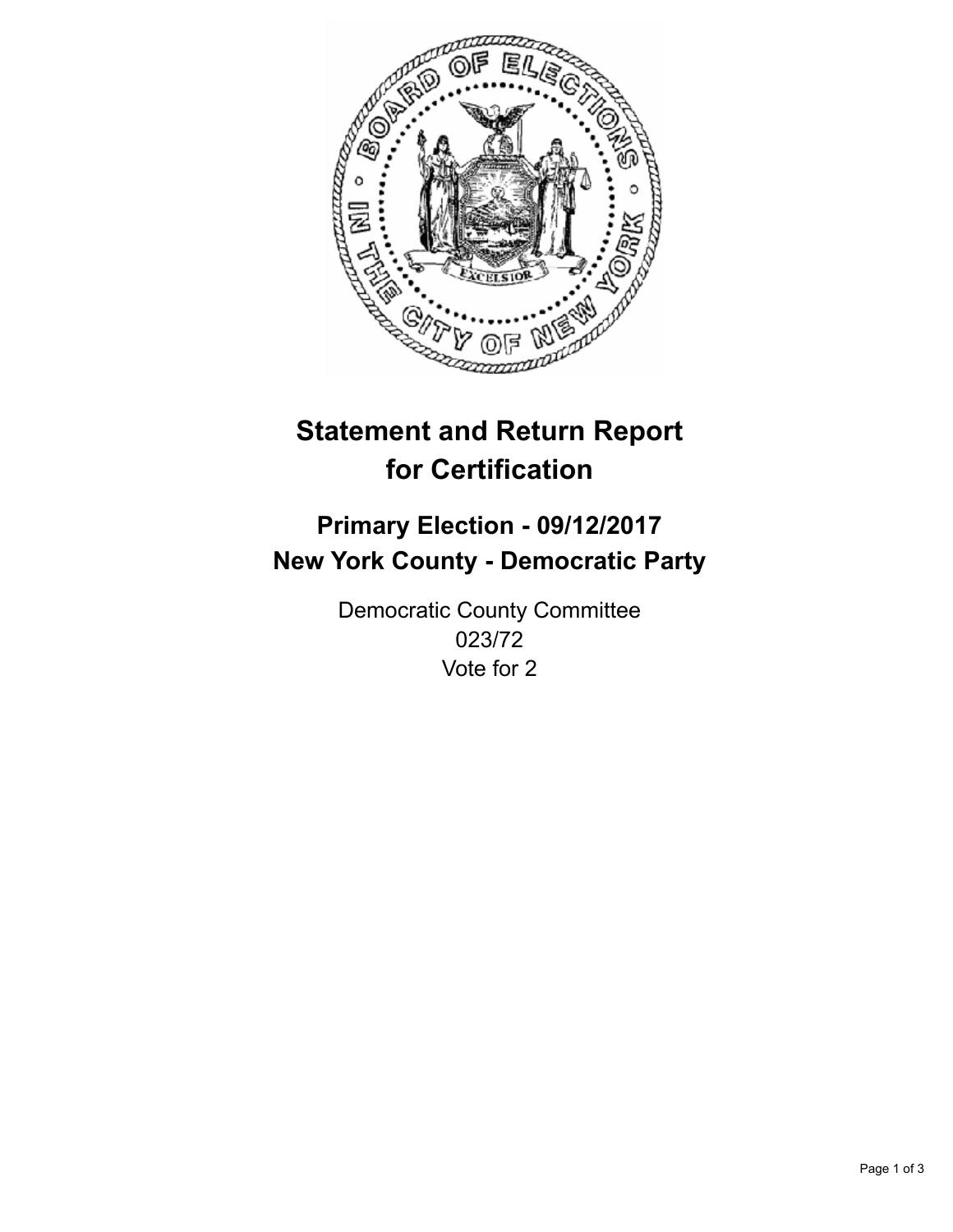

## **Statement and Return Report for Certification**

## **Primary Election - 09/12/2017 New York County - Democratic Party**

Democratic County Committee 023/72 Vote for 2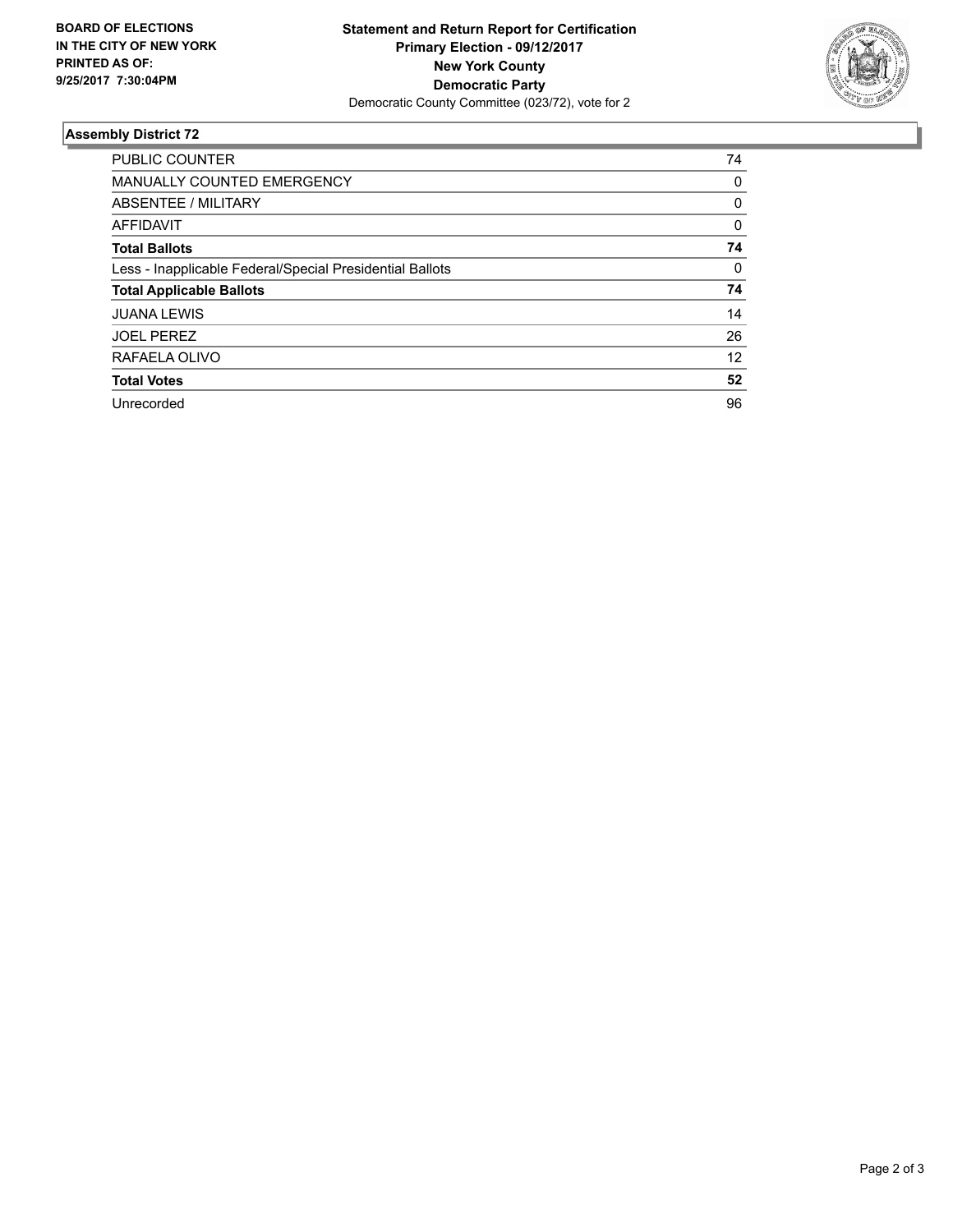

## **Assembly District 72**

| <b>PUBLIC COUNTER</b>                                    | 74 |
|----------------------------------------------------------|----|
| <b>MANUALLY COUNTED EMERGENCY</b>                        | 0  |
| ABSENTEE / MILITARY                                      | 0  |
| <b>AFFIDAVIT</b>                                         | 0  |
| <b>Total Ballots</b>                                     | 74 |
| Less - Inapplicable Federal/Special Presidential Ballots | 0  |
| <b>Total Applicable Ballots</b>                          | 74 |
| <b>JUANA LEWIS</b>                                       | 14 |
| <b>JOEL PEREZ</b>                                        | 26 |
| RAFAELA OLIVO                                            | 12 |
| <b>Total Votes</b>                                       | 52 |
| Unrecorded                                               | 96 |